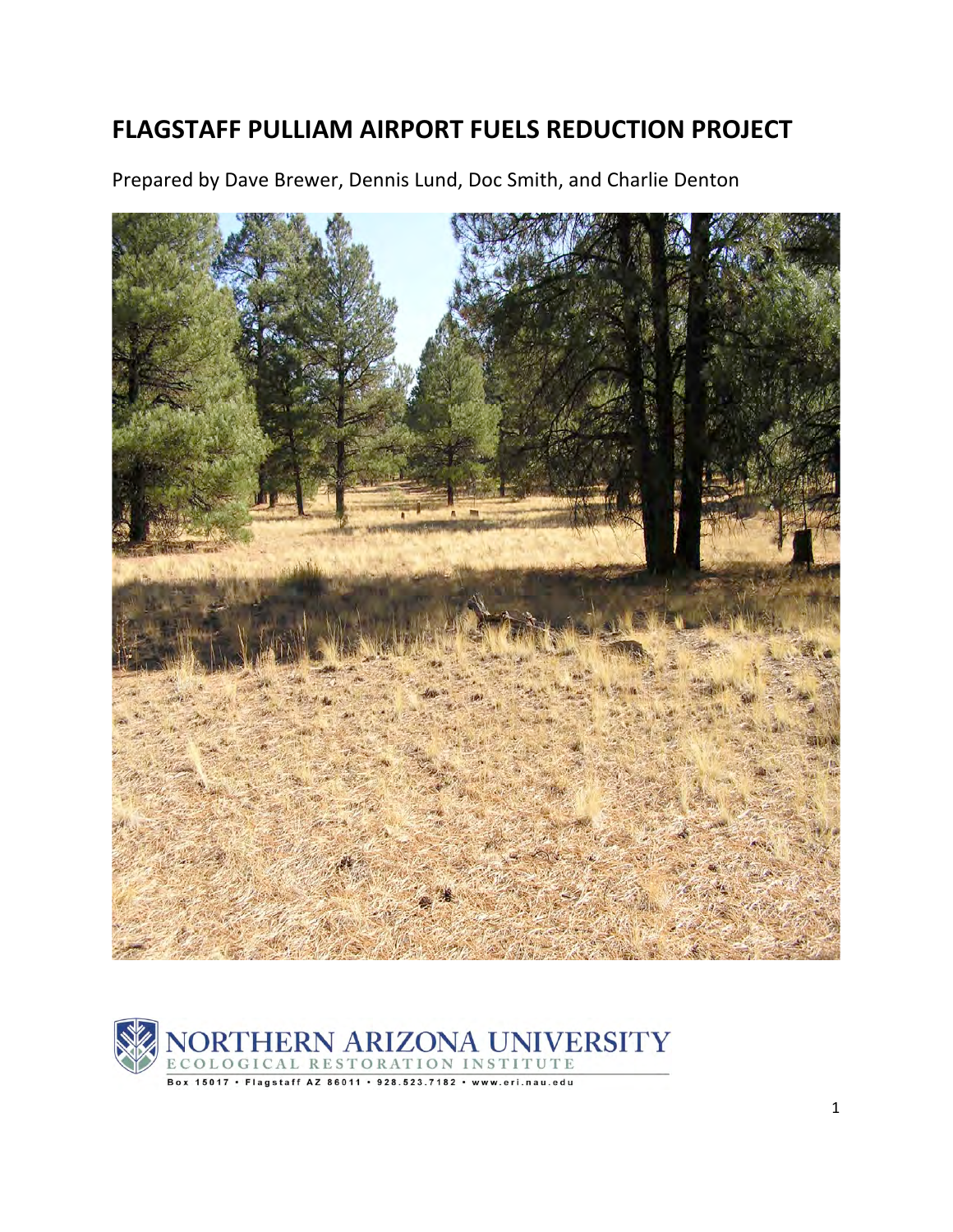# **FLAGSTAFF
PULLIAM
AIRPORT
FUELS
REDUCTION
PROJECT**

Prepared by Dave Brewer, Dennis Lund, Doc Smith, and Charlie Denton



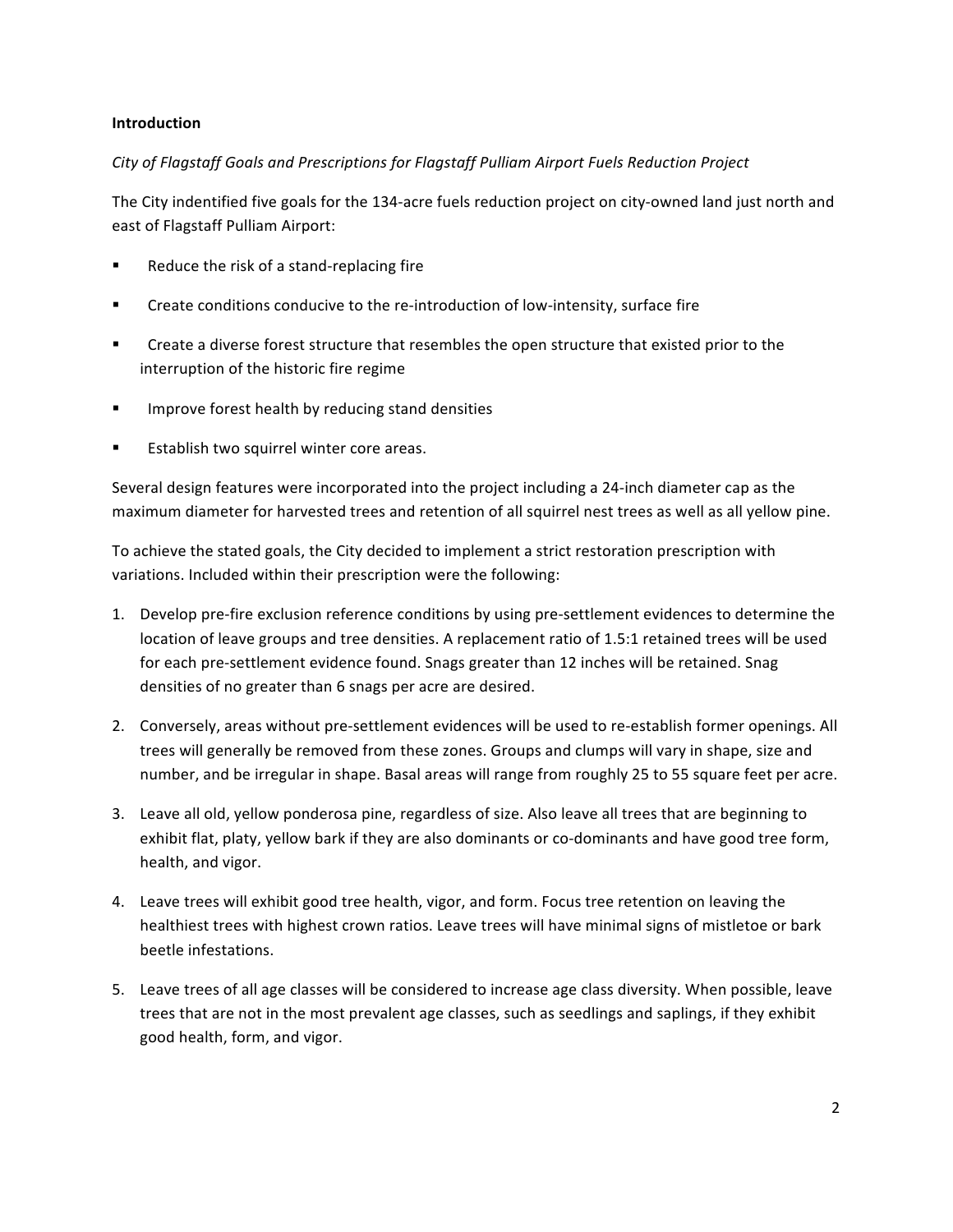## **Introduction**

## *City of Flagstaff Goals and Prescriptions for Flagstaff Pulliam Airport Fuels Reduction Project*

The City indentified five goals for the 134‐acre fuels reduction project on city‐owned land just north and east of Flagstaff Pulliam Airport:

- Reduce the risk of a stand-replacing fire
- Create conditions conducive to the re‐introduction of low‐intensity, surface fire
- **EXECT** Create a diverse forest structure that resembles the open structure that existed prior to the interruption of the historic fire regime
- **IMPROVE forest health by reducing stand densities**
- Establish two squirrel winter core areas.

Several design features were incorporated into the project including a 24‐inch diameter cap as the maximum diameter for harvested trees and retention of all squirrel nest trees as well as all yellow pine.

To achieve the stated goals, the City decided to implement a strict restoration prescription with variations. Included within their prescription were the following:

- 1. Develop pre-fire exclusion reference conditions by using pre-settlement evidences to determine the location of leave groups and tree densities. A replacement ratio of 1.5:1 retained trees will be used for each pre‐settlement evidence found. Snags greater than 12 inches will be retained. Snag densities of no greater than 6 snags per acre are desired.
- 2. Conversely, areas without pre‐settlement evidences will be used to re‐establish former openings. All trees will generally be removed from these zones. Groups and clumps will vary in shape, size and number, and be irregular in shape. Basal areas will range from roughly 25 to 55 square feet per acre.
- 3. Leave all old, yellow ponderosa pine, regardless of size. Also leave all trees that are beginning to exhibit flat, platy, yellow bark if they are also dominants or co-dominants and have good tree form, health, and vigor.
- 4. Leave trees will exhibit good tree health, vigor, and form. Focus tree retention on leaving the healthiest trees with highest crown ratios. Leave trees will have minimal signs of mistletoe or bark beetle infestations.
- 5. Leave trees of all age classes will be considered to increase age class diversity. When possible, leave trees that are not in the most prevalent age classes, such as seedlings and saplings, if they exhibit good health, form, and vigor.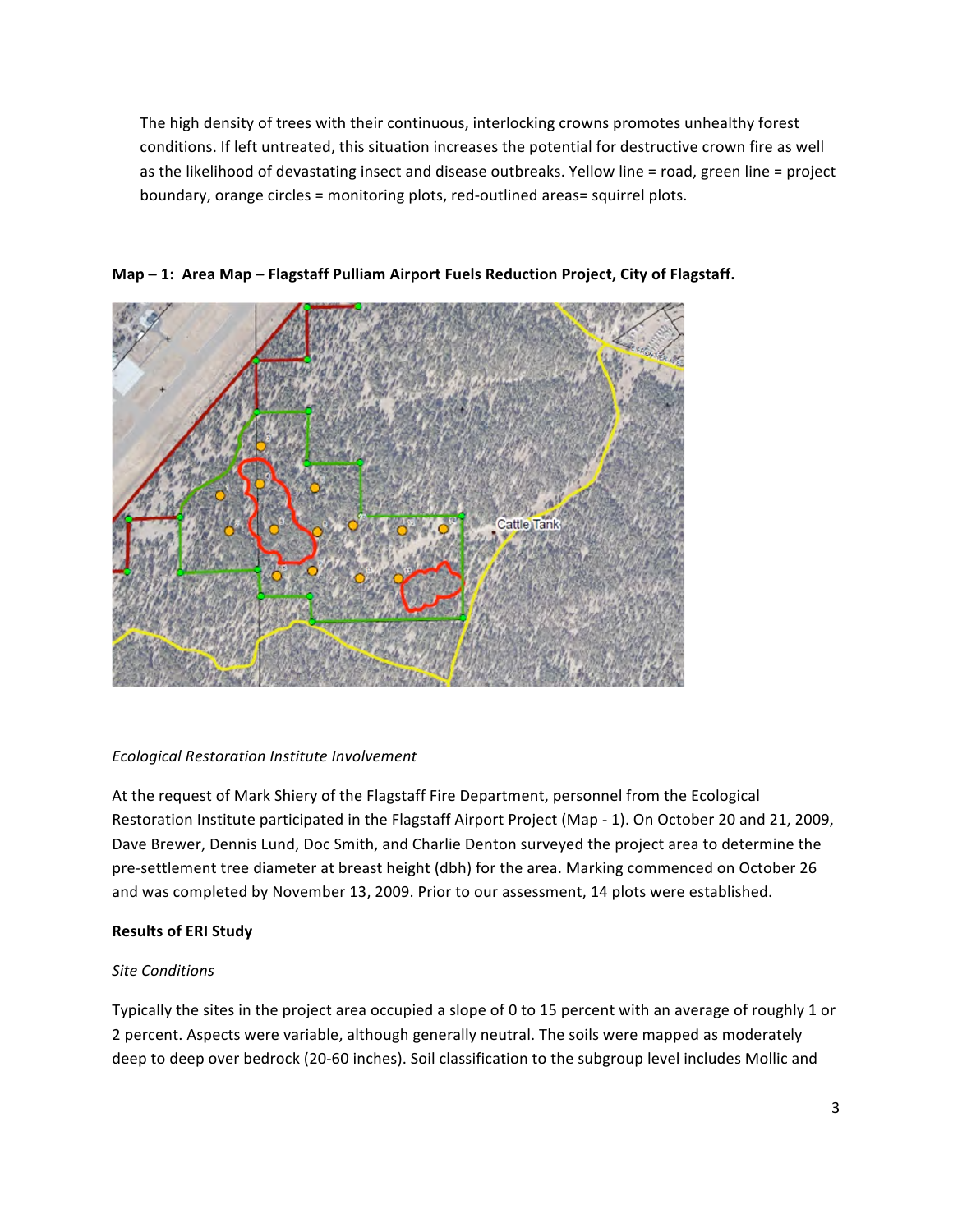The high density of trees with their continuous, interlocking crowns promotes unhealthy forest conditions. If left untreated, this situation increases the potential for destructive crown fire as well as the likelihood of devastating insect and disease outbreaks. Yellow line = road, green line = project boundary, orange circles = monitoring plots, red‐outlined areas= squirrel plots.



**Map – 1: Area Map – Flagstaff Pulliam Airport Fuels Reduction Project, City of Flagstaff.**

## *Ecological Restoration Institute Involvement*

At the request of Mark Shiery of the Flagstaff Fire Department, personnel from the Ecological Restoration Institute participated in the Flagstaff Airport Project (Map ‐ 1). On October 20 and 21, 2009, Dave Brewer, Dennis Lund, Doc Smith, and Charlie Denton surveyed the project area to determine the pre‐settlement tree diameter at breast height (dbh) for the area. Marking commenced on October 26 and was completed by November 13, 2009. Prior to our assessment, 14 plots were established.

# **Results of ERI Study**

# *Site Conditions*

Typically the sites in the project area occupied a slope of 0 to 15 percent with an average of roughly 1 or 2 percent. Aspects were variable, although generally neutral. The soils were mapped as moderately deep to deep over bedrock (20‐60 inches). Soil classification to the subgroup level includes Mollic and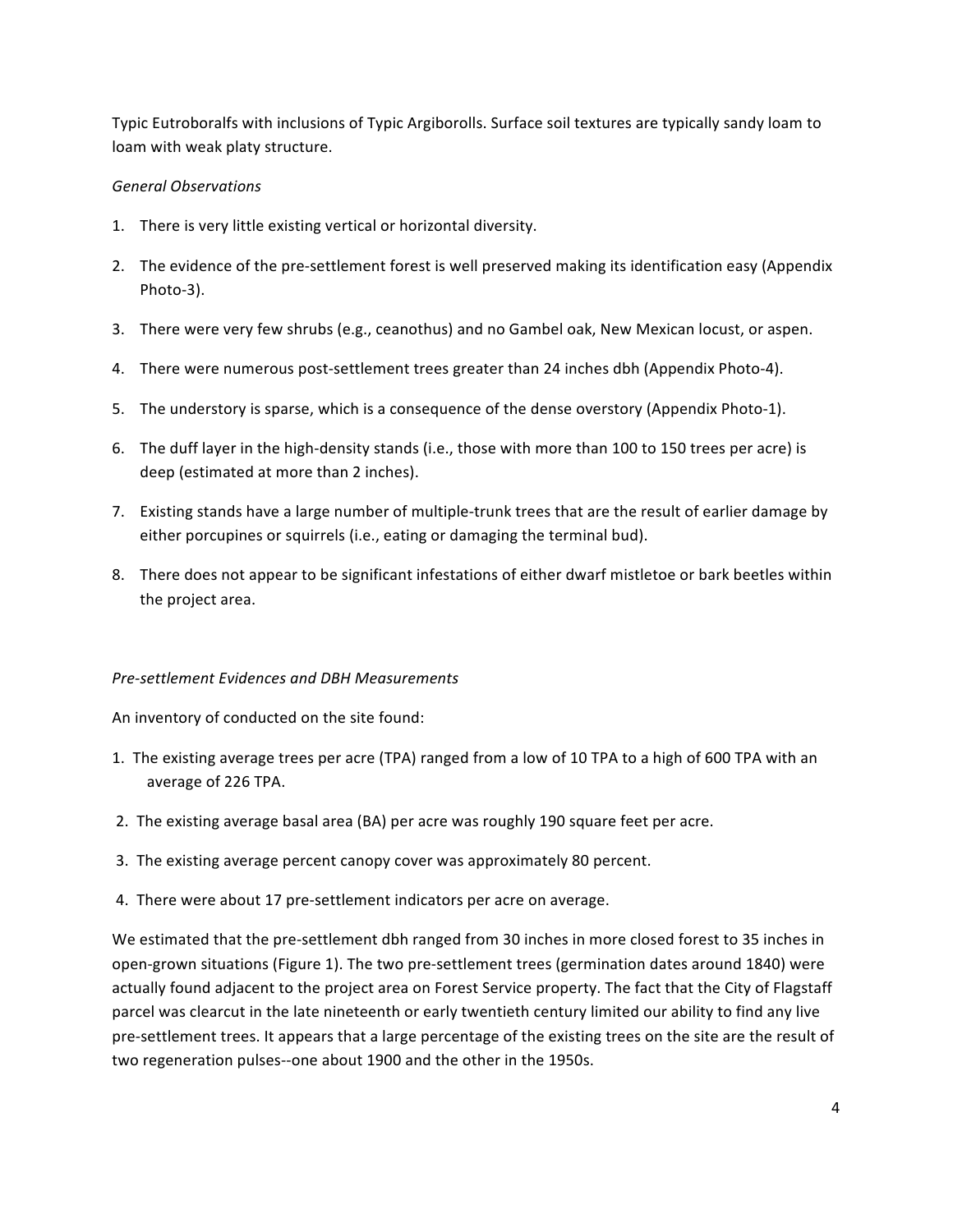Typic Eutroboralfs with inclusions of Typic Argiborolls. Surface soil textures are typically sandy loam to loam with weak platy structure.

## *General Observations*

- 1. There is very little existing vertical or horizontal diversity.
- 2. The evidence of the pre-settlement forest is well preserved making its identification easy (Appendix Photo‐3).
- 3. There were very few shrubs (e.g., ceanothus) and no Gambel oak, New Mexican locust, or aspen.
- 4. There were numerous post-settlement trees greater than 24 inches dbh (Appendix Photo-4).
- 5. The understory is sparse, which is a consequence of the dense overstory (Appendix Photo-1).
- 6. The duff layer in the high‐density stands (i.e., those with more than 100 to 150 trees per acre) is deep (estimated at more than 2 inches).
- 7. Existing stands have a large number of multiple‐trunk trees that are the result of earlier damage by either porcupines or squirrels (i.e., eating or damaging the terminal bud).
- 8. There does not appear to be significant infestations of either dwarf mistletoe or bark beetles within the project area.

## *Pre‐settlement Evidences and DBH Measurements*

An inventory of conducted on the site found:

- 1. The existing average trees per acre (TPA) ranged from a low of 10 TPA to a high of 600 TPA with an average of 226 TPA.
- 2. The existing average basal area (BA) per acre was roughly 190 square feet per acre.
- 3. The existing average percent canopy cover was approximately 80 percent.
- 4. There were about 17 pre‐settlement indicators per acre on average.

We estimated that the pre-settlement dbh ranged from 30 inches in more closed forest to 35 inches in open‐grown situations (Figure 1). The two pre‐settlement trees (germination dates around 1840) were actually found adjacent to the project area on Forest Service property. The fact that the City of Flagstaff parcel was clearcut in the late nineteenth or early twentieth century limited our ability to find any live pre‐settlement trees. It appears that a large percentage of the existing trees on the site are the result of two regeneration pulses--one about 1900 and the other in the 1950s.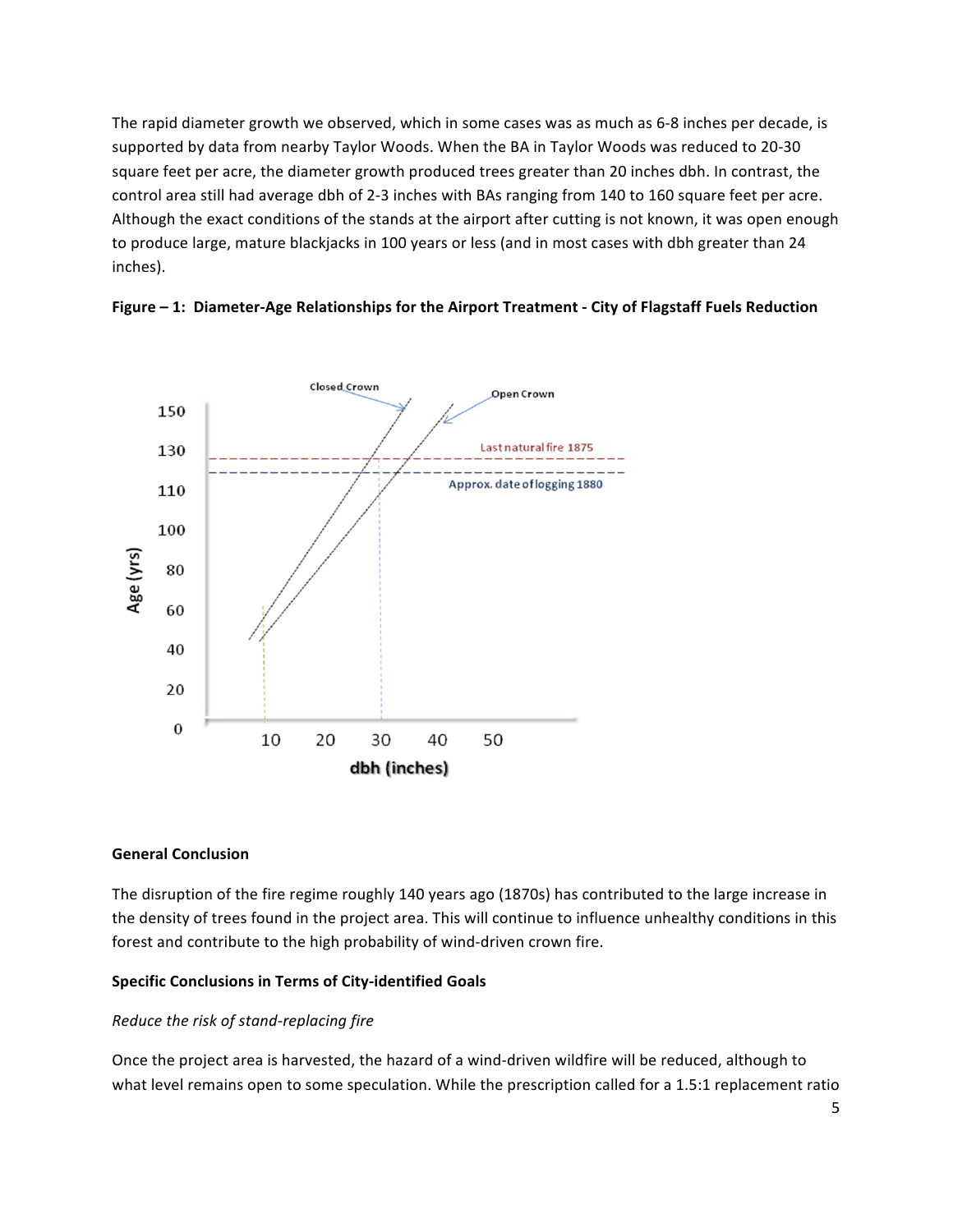The rapid diameter growth we observed, which in some cases was as much as 6‐8 inches per decade, is supported by data from nearby Taylor Woods. When the BA in Taylor Woods was reduced to 20‐30 square feet per acre, the diameter growth produced trees greater than 20 inches dbh. In contrast, the control area still had average dbh of 2‐3 inches with BAs ranging from 140 to 160 square feet per acre. Although the exact conditions of the stands at the airport after cutting is not known, it was open enough to produce large, mature blackjacks in 100 years or less (and in most cases with dbh greater than 24 inches).





#### **General Conclusion**

The disruption of the fire regime roughly 140 years ago (1870s) has contributed to the large increase in the density of trees found in the project area. This will continue to influence unhealthy conditions in this forest and contribute to the high probability of wind‐driven crown fire.

#### **Specific Conclusions in Terms of City‐identified Goals**

## *Reduce the risk of stand‐replacing fire*

Once the project area is harvested, the hazard of a wind‐driven wildfire will be reduced, although to what level remains open to some speculation. While the prescription called for a 1.5:1 replacement ratio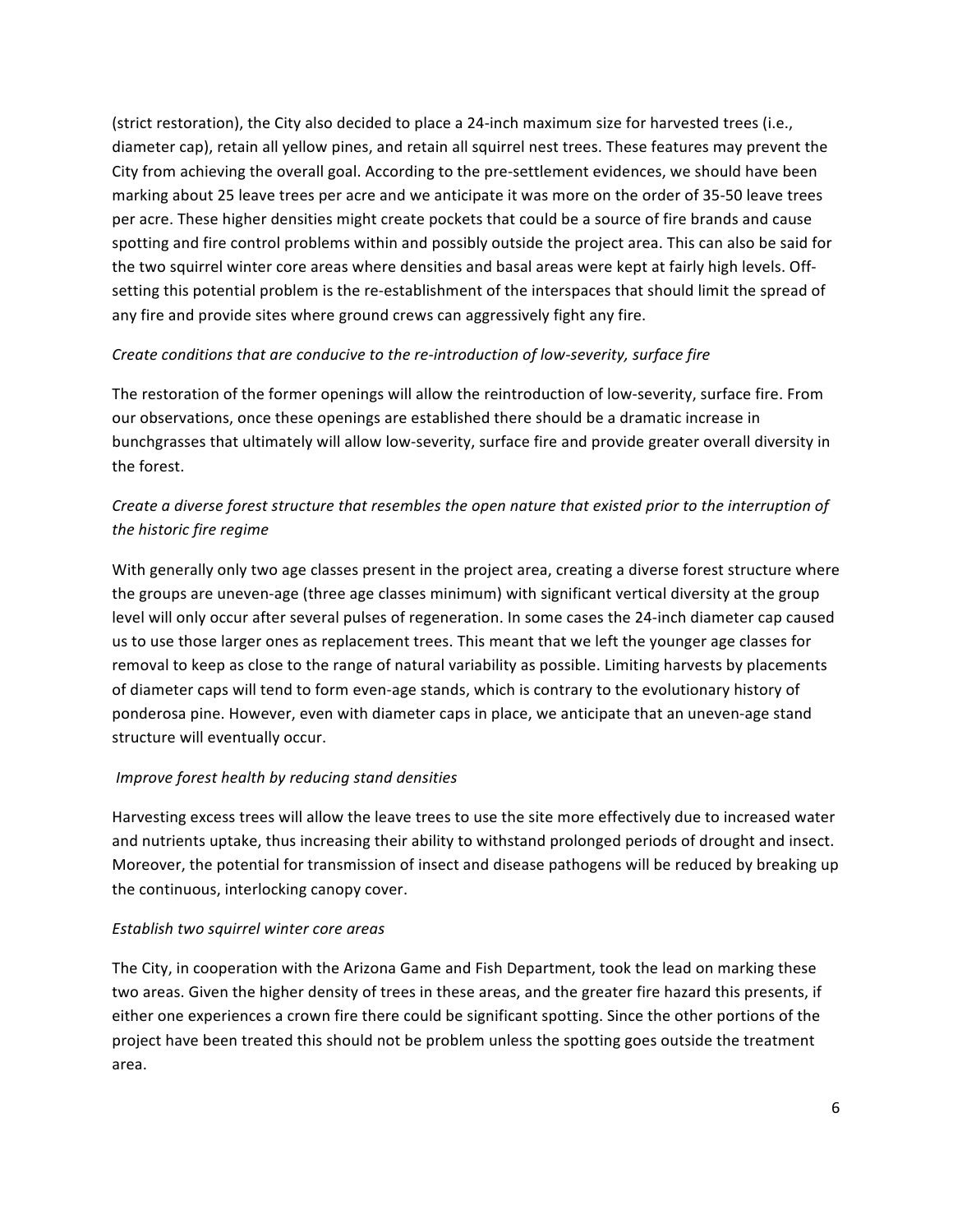(strict restoration), the City also decided to place a 24‐inch maximum size for harvested trees (i.e., diameter cap), retain all yellow pines, and retain all squirrel nest trees. These features may prevent the City from achieving the overall goal. According to the pre‐settlement evidences, we should have been marking about 25 leave trees per acre and we anticipate it was more on the order of 35‐50 leave trees per acre. These higher densities might create pockets that could be a source of fire brands and cause spotting and fire control problems within and possibly outside the project area. This can also be said for the two squirrel winter core areas where densities and basal areas were kept at fairly high levels. Off‐ setting this potential problem is the re‐establishment of the interspaces that should limit the spread of any fire and provide sites where ground crews can aggressively fight any fire.

## *Create conditions that are conducive to the re‐introduction of low‐severity, surface fire*

The restoration of the former openings will allow the reintroduction of low‐severity, surface fire. From our observations, once these openings are established there should be a dramatic increase in bunchgrasses that ultimately will allow low‐severity, surface fire and provide greater overall diversity in the forest.

# Create a diverse forest structure that resembles the open nature that existed prior to the interruption of *the historic fire regime*

With generally only two age classes present in the project area, creating a diverse forest structure where the groups are uneven‐age (three age classes minimum) with significant vertical diversity at the group level will only occur after several pulses of regeneration. In some cases the 24‐inch diameter cap caused us to use those larger ones as replacement trees. This meant that we left the younger age classes for removal to keep as close to the range of natural variability as possible. Limiting harvests by placements of diameter caps will tend to form even-age stands, which is contrary to the evolutionary history of ponderosa pine. However, even with diameter caps in place, we anticipate that an uneven‐age stand structure will eventually occur.

#### *Improve forest health by reducing stand densities*

Harvesting excess trees will allow the leave trees to use the site more effectively due to increased water and nutrients uptake, thus increasing their ability to withstand prolonged periods of drought and insect. Moreover, the potential for transmission of insect and disease pathogens will be reduced by breaking up the continuous, interlocking canopy cover.

#### *Establish two squirrel winter core areas*

The City, in cooperation with the Arizona Game and Fish Department, took the lead on marking these two areas. Given the higher density of trees in these areas, and the greater fire hazard this presents, if either one experiences a crown fire there could be significant spotting. Since the other portions of the project have been treated this should not be problem unless the spotting goes outside the treatment area.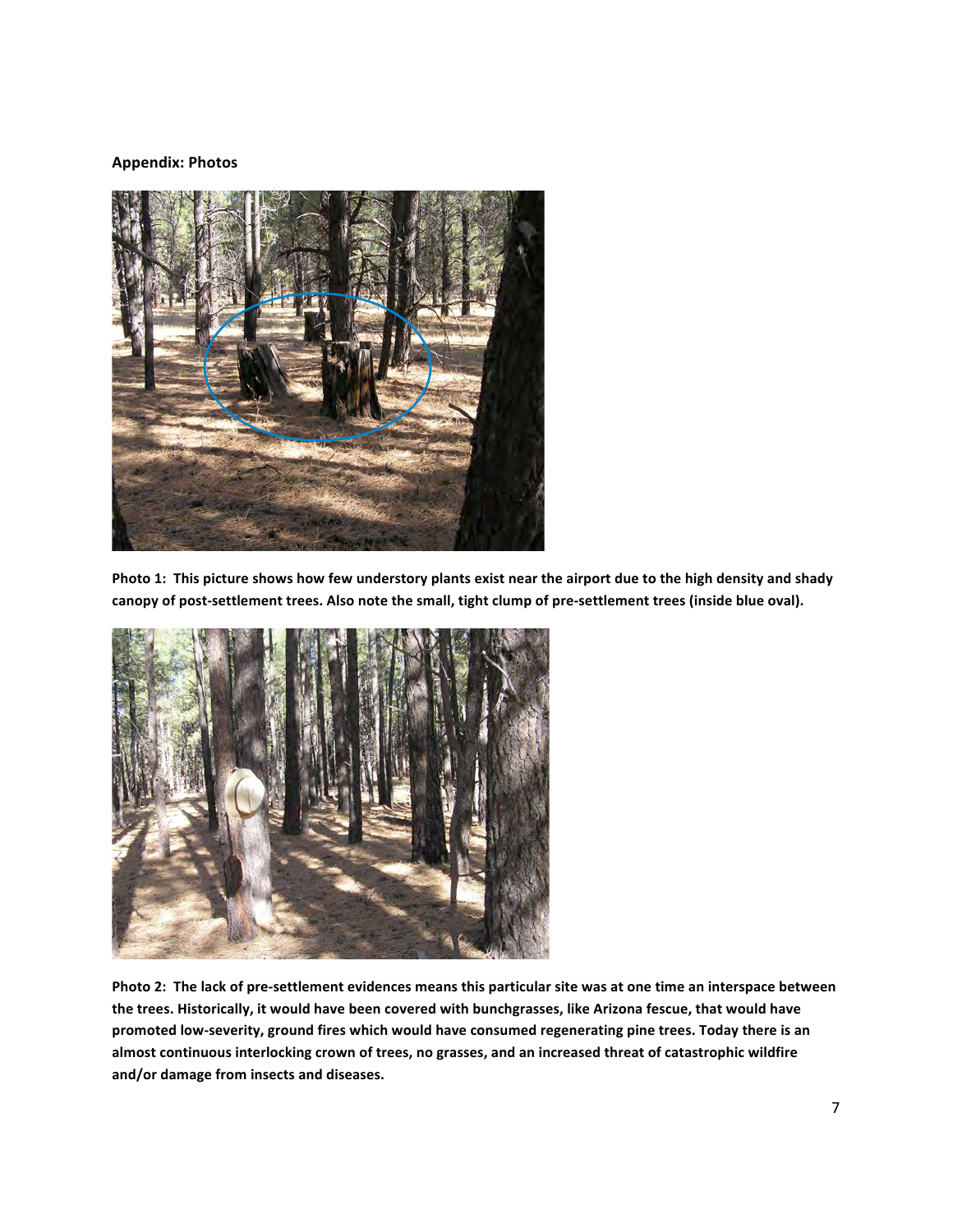#### **Appendix: Photos**



Photo 1: This picture shows how few understory plants exist near the airport due to the high density and shady **canopy of post‐settlement trees. Also note the small, tight clump of pre‐settlement trees (inside blue oval).**



Photo 2: The lack of pre-settlement evidences means this particular site was at one time an interspace between **the trees. Historically, it would have been covered with bunchgrasses, like Arizona fescue, that would have promoted low‐severity, ground fires which would have consumed regenerating pine trees. Today there is an almost continuous interlocking crown of trees, no grasses, and an increased threat of catastrophic wildfire and/or damage from insects and diseases.**